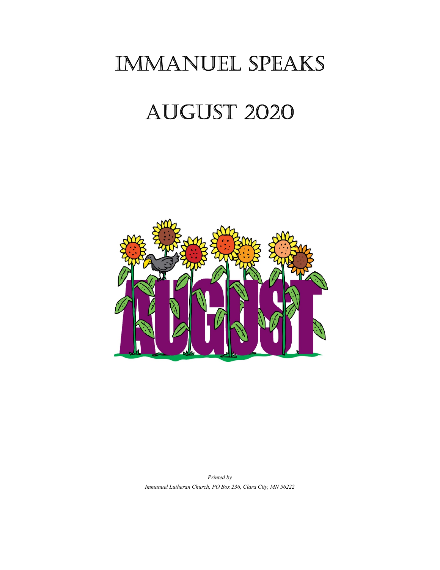## Immanuel SpeakS

# AUGUST 2020



Printed by Immanuel Lutheran Church, PO Box 236, Clara City, MN 56222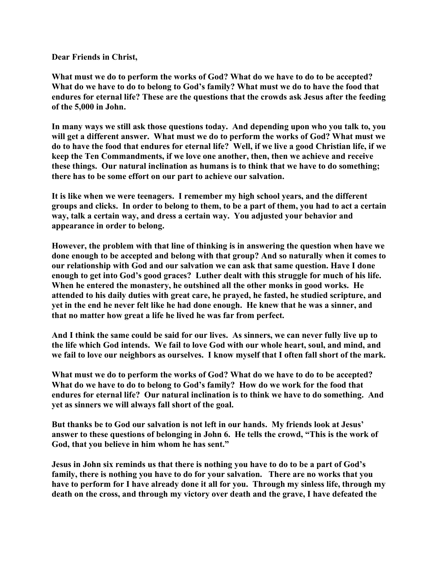Dear Friends in Christ,

What must we do to perform the works of God? What do we have to do to be accepted? What do we have to do to belong to God's family? What must we do to have the food that endures for eternal life? These are the questions that the crowds ask Jesus after the feeding of the 5,000 in John.

In many ways we still ask those questions today. And depending upon who you talk to, you will get a different answer. What must we do to perform the works of God? What must we do to have the food that endures for eternal life? Well, if we live a good Christian life, if we keep the Ten Commandments, if we love one another, then, then we achieve and receive these things. Our natural inclination as humans is to think that we have to do something; there has to be some effort on our part to achieve our salvation.

It is like when we were teenagers. I remember my high school years, and the different groups and clicks. In order to belong to them, to be a part of them, you had to act a certain way, talk a certain way, and dress a certain way. You adjusted your behavior and appearance in order to belong.

However, the problem with that line of thinking is in answering the question when have we done enough to be accepted and belong with that group? And so naturally when it comes to our relationship with God and our salvation we can ask that same question. Have I done enough to get into God's good graces? Luther dealt with this struggle for much of his life. When he entered the monastery, he outshined all the other monks in good works. He attended to his daily duties with great care, he prayed, he fasted, he studied scripture, and yet in the end he never felt like he had done enough. He knew that he was a sinner, and that no matter how great a life he lived he was far from perfect.

And I think the same could be said for our lives. As sinners, we can never fully live up to the life which God intends. We fail to love God with our whole heart, soul, and mind, and we fail to love our neighbors as ourselves. I know myself that I often fall short of the mark.

What must we do to perform the works of God? What do we have to do to be accepted? What do we have to do to belong to God's family? How do we work for the food that endures for eternal life? Our natural inclination is to think we have to do something. And yet as sinners we will always fall short of the goal.

But thanks be to God our salvation is not left in our hands. My friends look at Jesus' answer to these questions of belonging in John 6. He tells the crowd, "This is the work of God, that you believe in him whom he has sent."

Jesus in John six reminds us that there is nothing you have to do to be a part of God's family, there is nothing you have to do for your salvation. There are no works that you have to perform for I have already done it all for you. Through my sinless life, through my death on the cross, and through my victory over death and the grave, I have defeated the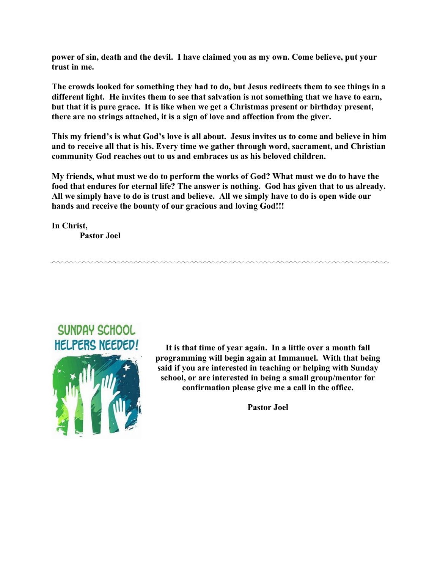power of sin, death and the devil. I have claimed you as my own. Come believe, put your trust in me.

The crowds looked for something they had to do, but Jesus redirects them to see things in a different light. He invites them to see that salvation is not something that we have to earn, but that it is pure grace. It is like when we get a Christmas present or birthday present, there are no strings attached, it is a sign of love and affection from the giver.

This my friend's is what God's love is all about. Jesus invites us to come and believe in him and to receive all that is his. Every time we gather through word, sacrament, and Christian community God reaches out to us and embraces us as his beloved children.

My friends, what must we do to perform the works of God? What must we do to have the food that endures for eternal life? The answer is nothing. God has given that to us already. All we simply have to do is trust and believe. All we simply have to do is open wide our hands and receive the bounty of our gracious and loving God!!!

In Christ, Pastor Joel



It is that time of year again. In a little over a month fall programming will begin again at Immanuel. With that being said if you are interested in teaching or helping with Sunday school, or are interested in being a small group/mentor for confirmation please give me a call in the office.

Pastor Joel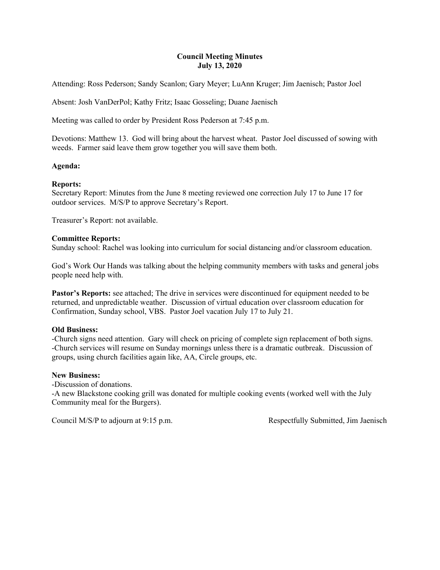#### Council Meeting Minutes July 13, 2020

Attending: Ross Pederson; Sandy Scanlon; Gary Meyer; LuAnn Kruger; Jim Jaenisch; Pastor Joel

Absent: Josh VanDerPol; Kathy Fritz; Isaac Gosseling; Duane Jaenisch

Meeting was called to order by President Ross Pederson at 7:45 p.m.

Devotions: Matthew 13. God will bring about the harvest wheat. Pastor Joel discussed of sowing with weeds. Farmer said leave them grow together you will save them both.

### Agenda:

### Reports:

Secretary Report: Minutes from the June 8 meeting reviewed one correction July 17 to June 17 for outdoor services. M/S/P to approve Secretary's Report.

Treasurer's Report: not available.

#### Committee Reports:

Sunday school: Rachel was looking into curriculum for social distancing and/or classroom education.

God's Work Our Hands was talking about the helping community members with tasks and general jobs people need help with.

Pastor's Reports: see attached; The drive in services were discontinued for equipment needed to be returned, and unpredictable weather. Discussion of virtual education over classroom education for Confirmation, Sunday school, VBS. Pastor Joel vacation July 17 to July 21.

#### Old Business:

-Church signs need attention. Gary will check on pricing of complete sign replacement of both signs. -Church services will resume on Sunday mornings unless there is a dramatic outbreak. Discussion of groups, using church facilities again like, AA, Circle groups, etc.

#### New Business:

-Discussion of donations.

-A new Blackstone cooking grill was donated for multiple cooking events (worked well with the July Community meal for the Burgers).

Council M/S/P to adjourn at 9:15 p.m. Respectfully Submitted, Jim Jaenisch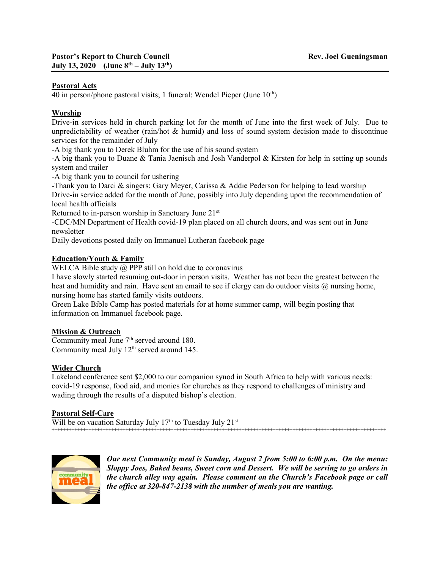### Pastoral Acts

40 in person/phone pastoral visits; 1 funeral: Wendel Pieper (June  $10<sup>th</sup>$ )

## Worship

Drive-in services held in church parking lot for the month of June into the first week of July. Due to unpredictability of weather (rain/hot & humid) and loss of sound system decision made to discontinue services for the remainder of July

-A big thank you to Derek Bluhm for the use of his sound system

-A big thank you to Duane & Tania Jaenisch and Josh Vanderpol & Kirsten for help in setting up sounds system and trailer

-A big thank you to council for ushering

-Thank you to Darci & singers: Gary Meyer, Carissa & Addie Pederson for helping to lead worship Drive-in service added for the month of June, possibly into July depending upon the recommendation of local health officials

Returned to in-person worship in Sanctuary June 21st

-CDC/MN Department of Health covid-19 plan placed on all church doors, and was sent out in June newsletter

Daily devotions posted daily on Immanuel Lutheran facebook page

#### Education/Youth & Family

WELCA Bible study @ PPP still on hold due to coronavirus

I have slowly started resuming out-door in person visits. Weather has not been the greatest between the heat and humidity and rain. Have sent an email to see if clergy can do outdoor visits  $\omega$  nursing home, nursing home has started family visits outdoors.

Green Lake Bible Camp has posted materials for at home summer camp, will begin posting that information on Immanuel facebook page.

#### **Mission & Outreach**

Community meal June  $7<sup>th</sup>$  served around 180. Community meal July 12<sup>th</sup> served around 145.

## Wider Church

Lakeland conference sent \$2,000 to our companion synod in South Africa to help with various needs: covid-19 response, food aid, and monies for churches as they respond to challenges of ministry and wading through the results of a disputed bishop's election.

#### Pastoral Self-Care

Will be on vacation Saturday July  $17<sup>th</sup>$  to Tuesday July  $21<sup>st</sup>$ ++++++++++++++++++++++++++++++++++++++++++++++++++++++++++++++++++++++++++++++++++++++++++++++++++++++++++++++++++++++



Our next Community meal is Sunday, August 2 from 5:00 to 6:00 p.m. On the menu: Sloppy Joes, Baked beans, Sweet corn and Dessert. We will be serving to go orders in the church alley way again. Please comment on the Church's Facebook page or call the office at 320-847-2138 with the number of meals you are wanting.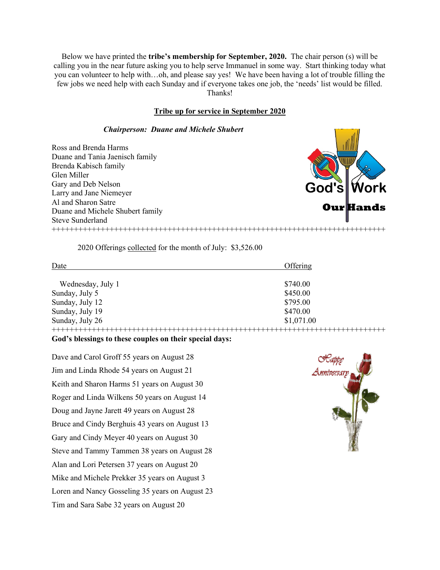Below we have printed the tribe's membership for September, 2020. The chair person (s) will be calling you in the near future asking you to help serve Immanuel in some way. Start thinking today what you can volunteer to help with…oh, and please say yes! We have been having a lot of trouble filling the few jobs we need help with each Sunday and if everyone takes one job, the 'needs' list would be filled. Thanks!

#### Tribe up for service in September 2020

#### Chairperson: Duane and Michele Shubert

Ross and Brenda Harms Duane and Tania Jaenisch family Brenda Kabisch family Glen Miller Gary and Deb Nelson Larry and Jane Niemeyer Al and Sharon Satre Duane and Michele Shubert family Steve Sunderland



2020 Offerings collected for the month of July: \$3,526.00

| Date              | Offering   |
|-------------------|------------|
| Wednesday, July 1 | \$740.00   |
| Sunday, July 5    | \$450.00   |
| Sunday, July 12   | \$795.00   |
| Sunday, July 19   | \$470.00   |
| Sunday, July 26   | \$1,071.00 |
|                   |            |

#### God's blessings to these couples on their special days:

Dave and Carol Groff 55 years on August 28 Jim and Linda Rhode 54 years on August 21 Keith and Sharon Harms 51 years on August 30 Roger and Linda Wilkens 50 years on August 14 Doug and Jayne Jarett 49 years on August 28 Bruce and Cindy Berghuis 43 years on August 13 Gary and Cindy Meyer 40 years on August 30 Steve and Tammy Tammen 38 years on August 28 Alan and Lori Petersen 37 years on August 20 Mike and Michele Prekker 35 years on August 3 Loren and Nancy Gosseling 35 years on August 23 Tim and Sara Sabe 32 years on August 20